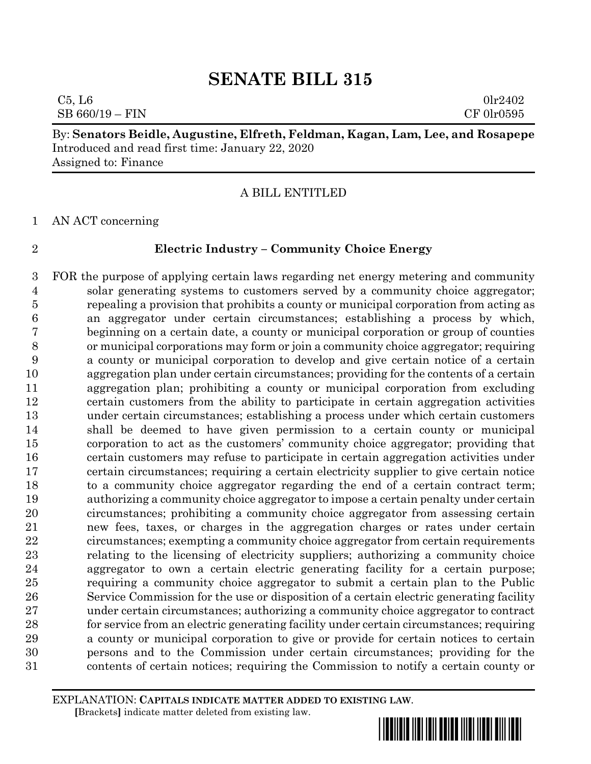$C5, L6$  0lr2402  $SB 660/19 - FIN$  CF 0lr0595

By: **Senators Beidle, Augustine, Elfreth, Feldman, Kagan, Lam, Lee, and Rosapepe** Introduced and read first time: January 22, 2020 Assigned to: Finance

A BILL ENTITLED

AN ACT concerning

# **Electric Industry – Community Choice Energy**

 FOR the purpose of applying certain laws regarding net energy metering and community solar generating systems to customers served by a community choice aggregator; repealing a provision that prohibits a county or municipal corporation from acting as an aggregator under certain circumstances; establishing a process by which, beginning on a certain date, a county or municipal corporation or group of counties or municipal corporations may form or join a community choice aggregator; requiring a county or municipal corporation to develop and give certain notice of a certain aggregation plan under certain circumstances; providing for the contents of a certain aggregation plan; prohibiting a county or municipal corporation from excluding certain customers from the ability to participate in certain aggregation activities under certain circumstances; establishing a process under which certain customers shall be deemed to have given permission to a certain county or municipal corporation to act as the customers' community choice aggregator; providing that certain customers may refuse to participate in certain aggregation activities under certain circumstances; requiring a certain electricity supplier to give certain notice to a community choice aggregator regarding the end of a certain contract term; authorizing a community choice aggregator to impose a certain penalty under certain circumstances; prohibiting a community choice aggregator from assessing certain new fees, taxes, or charges in the aggregation charges or rates under certain circumstances; exempting a community choice aggregator from certain requirements relating to the licensing of electricity suppliers; authorizing a community choice aggregator to own a certain electric generating facility for a certain purpose; requiring a community choice aggregator to submit a certain plan to the Public Service Commission for the use or disposition of a certain electric generating facility under certain circumstances; authorizing a community choice aggregator to contract for service from an electric generating facility under certain circumstances; requiring a county or municipal corporation to give or provide for certain notices to certain persons and to the Commission under certain circumstances; providing for the contents of certain notices; requiring the Commission to notify a certain county or

EXPLANATION: **CAPITALS INDICATE MATTER ADDED TO EXISTING LAW**.  **[**Brackets**]** indicate matter deleted from existing law.

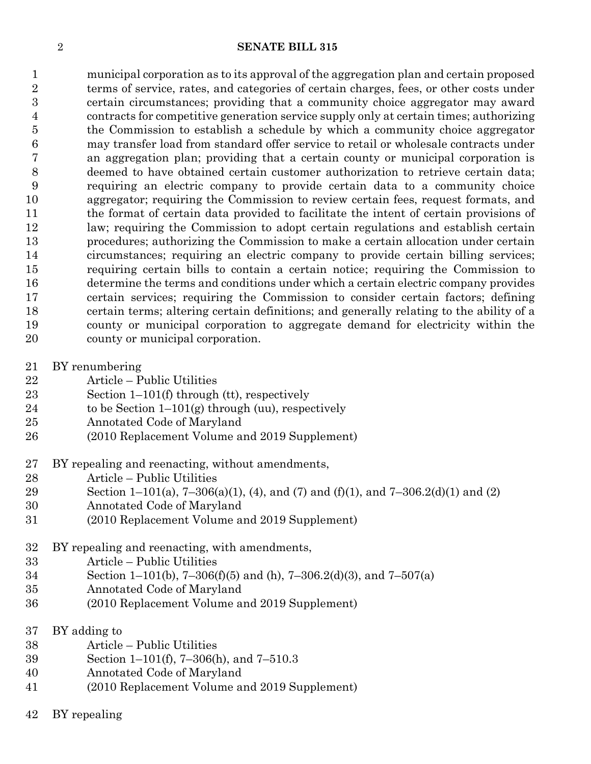municipal corporation as to its approval of the aggregation plan and certain proposed terms of service, rates, and categories of certain charges, fees, or other costs under certain circumstances; providing that a community choice aggregator may award contracts for competitive generation service supply only at certain times; authorizing the Commission to establish a schedule by which a community choice aggregator may transfer load from standard offer service to retail or wholesale contracts under an aggregation plan; providing that a certain county or municipal corporation is deemed to have obtained certain customer authorization to retrieve certain data; requiring an electric company to provide certain data to a community choice aggregator; requiring the Commission to review certain fees, request formats, and the format of certain data provided to facilitate the intent of certain provisions of law; requiring the Commission to adopt certain regulations and establish certain procedures; authorizing the Commission to make a certain allocation under certain circumstances; requiring an electric company to provide certain billing services; requiring certain bills to contain a certain notice; requiring the Commission to determine the terms and conditions under which a certain electric company provides certain services; requiring the Commission to consider certain factors; defining certain terms; altering certain definitions; and generally relating to the ability of a county or municipal corporation to aggregate demand for electricity within the county or municipal corporation.

- BY renumbering
- Article Public Utilities
- Section 1–101(f) through (tt), respectively
- 24 to be Section  $1-101(g)$  through (uu), respectively
- Annotated Code of Maryland
- (2010 Replacement Volume and 2019 Supplement)
- BY repealing and reenacting, without amendments,
- Article Public Utilities
- 29 Section 1–101(a), 7–306(a)(1), (4), and (7) and (f)(1), and 7–306.2(d)(1) and (2)
- Annotated Code of Maryland
- (2010 Replacement Volume and 2019 Supplement)
- BY repealing and reenacting, with amendments,
- Article Public Utilities
- Section 1–101(b), 7–306(f)(5) and (h), 7–306.2(d)(3), and 7–507(a)
- Annotated Code of Maryland
- (2010 Replacement Volume and 2019 Supplement)
- BY adding to
- Article Public Utilities
- Section 1–101(f), 7–306(h), and 7–510.3
- Annotated Code of Maryland
- (2010 Replacement Volume and 2019 Supplement)
- BY repealing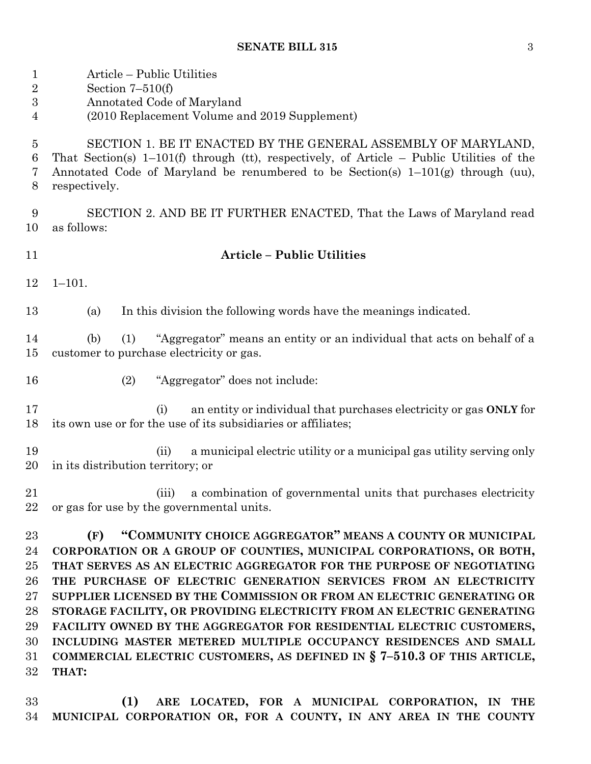| $\mathbf{1}$<br>$\overline{2}$<br>$\boldsymbol{3}$<br>4              | Article – Public Utilities<br>Section $7-510(f)$<br>Annotated Code of Maryland<br>(2010 Replacement Volume and 2019 Supplement)                                                                                                                                                                                                                                                                                                                                                                                                                                                                                                                                         |
|----------------------------------------------------------------------|-------------------------------------------------------------------------------------------------------------------------------------------------------------------------------------------------------------------------------------------------------------------------------------------------------------------------------------------------------------------------------------------------------------------------------------------------------------------------------------------------------------------------------------------------------------------------------------------------------------------------------------------------------------------------|
| $\overline{5}$<br>6<br>7<br>8                                        | SECTION 1. BE IT ENACTED BY THE GENERAL ASSEMBLY OF MARYLAND,<br>That Section(s) $1-101(f)$ through (tt), respectively, of Article – Public Utilities of the<br>Annotated Code of Maryland be renumbered to be Section(s) $1-101(g)$ through (uu),<br>respectively.                                                                                                                                                                                                                                                                                                                                                                                                     |
| 9<br>10                                                              | SECTION 2. AND BE IT FURTHER ENACTED, That the Laws of Maryland read<br>as follows:                                                                                                                                                                                                                                                                                                                                                                                                                                                                                                                                                                                     |
| 11                                                                   | <b>Article - Public Utilities</b>                                                                                                                                                                                                                                                                                                                                                                                                                                                                                                                                                                                                                                       |
| 12                                                                   | $1 - 101.$                                                                                                                                                                                                                                                                                                                                                                                                                                                                                                                                                                                                                                                              |
| 13                                                                   | In this division the following words have the meanings indicated.<br>(a)                                                                                                                                                                                                                                                                                                                                                                                                                                                                                                                                                                                                |
| 14<br>15                                                             | "Aggregator" means an entity or an individual that acts on behalf of a<br>(b)<br>(1)<br>customer to purchase electricity or gas.                                                                                                                                                                                                                                                                                                                                                                                                                                                                                                                                        |
| 16                                                                   | "Aggregator" does not include:<br>(2)                                                                                                                                                                                                                                                                                                                                                                                                                                                                                                                                                                                                                                   |
| 17<br>18                                                             | an entity or individual that purchases electricity or gas ONLY for<br>(i)<br>its own use or for the use of its subsidiaries or affiliates;                                                                                                                                                                                                                                                                                                                                                                                                                                                                                                                              |
| 19<br>20                                                             | a municipal electric utility or a municipal gas utility serving only<br>(ii)<br>in its distribution territory; or                                                                                                                                                                                                                                                                                                                                                                                                                                                                                                                                                       |
| 21<br>22                                                             | a combination of governmental units that purchases electricity<br>(iii)<br>or gas for use by the governmental units.                                                                                                                                                                                                                                                                                                                                                                                                                                                                                                                                                    |
| 23<br>24<br>25<br>26<br>$27\,$<br>28<br>29<br>30<br>$31\,$<br>$32\,$ | "COMMUNITY CHOICE AGGREGATOR" MEANS A COUNTY OR MUNICIPAL<br>(F)<br>CORPORATION OR A GROUP OF COUNTIES, MUNICIPAL CORPORATIONS, OR BOTH,<br>THAT SERVES AS AN ELECTRIC AGGREGATOR FOR THE PURPOSE OF NEGOTIATING<br>THE PURCHASE OF ELECTRIC GENERATION SERVICES FROM AN ELECTRICITY<br>SUPPLIER LICENSED BY THE COMMISSION OR FROM AN ELECTRIC GENERATING OR<br>STORAGE FACILITY, OR PROVIDING ELECTRICITY FROM AN ELECTRIC GENERATING<br>FACILITY OWNED BY THE AGGREGATOR FOR RESIDENTIAL ELECTRIC CUSTOMERS,<br>INCLUDING MASTER METERED MULTIPLE OCCUPANCY RESIDENCES AND SMALL<br>COMMERCIAL ELECTRIC CUSTOMERS, AS DEFINED IN § 7-510.3 OF THIS ARTICLE,<br>THAT: |
|                                                                      |                                                                                                                                                                                                                                                                                                                                                                                                                                                                                                                                                                                                                                                                         |

 **(1) ARE LOCATED, FOR A MUNICIPAL CORPORATION, IN THE MUNICIPAL CORPORATION OR, FOR A COUNTY, IN ANY AREA IN THE COUNTY**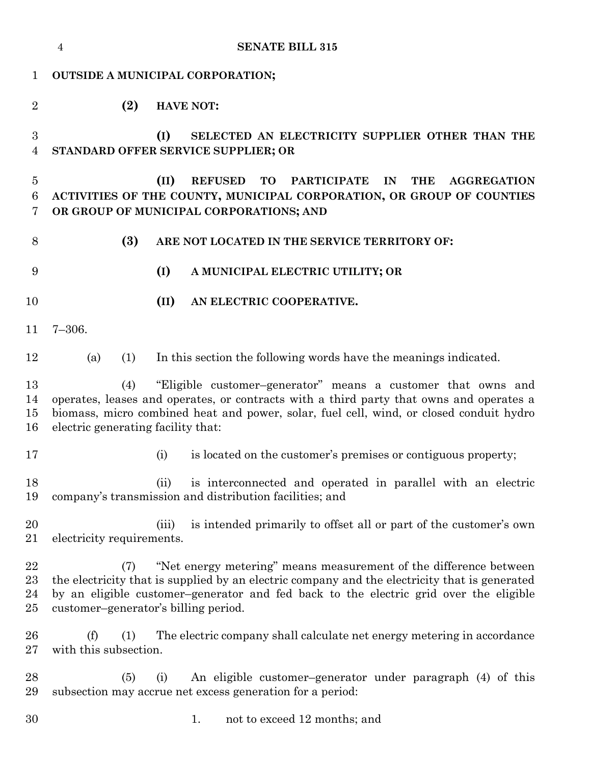|                               | <b>SENATE BILL 315</b><br>$\overline{4}$                                                                                                                                                                                                                                                                   |
|-------------------------------|------------------------------------------------------------------------------------------------------------------------------------------------------------------------------------------------------------------------------------------------------------------------------------------------------------|
| 1                             | <b>OUTSIDE A MUNICIPAL CORPORATION;</b>                                                                                                                                                                                                                                                                    |
| $\overline{2}$                | (2)<br><b>HAVE NOT:</b>                                                                                                                                                                                                                                                                                    |
| 3<br>4                        | (I)<br>SELECTED AN ELECTRICITY SUPPLIER OTHER THAN THE<br>STANDARD OFFER SERVICE SUPPLIER; OR                                                                                                                                                                                                              |
| $\overline{5}$<br>6<br>7      | (II)<br><b>REFUSED</b><br><b>TO</b><br><b>PARTICIPATE</b><br><b>THE</b><br>IN<br><b>AGGREGATION</b><br>ACTIVITIES OF THE COUNTY, MUNICIPAL CORPORATION, OR GROUP OF COUNTIES<br>OR GROUP OF MUNICIPAL CORPORATIONS; AND                                                                                    |
| 8                             | (3)<br>ARE NOT LOCATED IN THE SERVICE TERRITORY OF:                                                                                                                                                                                                                                                        |
| 9                             | (I)<br>A MUNICIPAL ELECTRIC UTILITY; OR                                                                                                                                                                                                                                                                    |
| 10                            | (II)<br>AN ELECTRIC COOPERATIVE.                                                                                                                                                                                                                                                                           |
| 11                            | $7 - 306.$                                                                                                                                                                                                                                                                                                 |
| 12                            | (1)<br>In this section the following words have the meanings indicated.<br>(a)                                                                                                                                                                                                                             |
| 13<br>14<br>15<br>16          | "Eligible customer-generator" means a customer that owns and<br>(4)<br>operates, leases and operates, or contracts with a third party that owns and operates a<br>biomass, micro combined heat and power, solar, fuel cell, wind, or closed conduit hydro<br>electric generating facility that:            |
| 17                            | is located on the customer's premises or contiguous property;<br>(i)                                                                                                                                                                                                                                       |
| 18<br>19                      | is interconnected and operated in parallel with an electric<br>(ii)<br>company's transmission and distribution facilities; and                                                                                                                                                                             |
| 20<br>21                      | is intended primarily to offset all or part of the customer's own<br>(iii)<br>electricity requirements.                                                                                                                                                                                                    |
| 22<br>$^{23}$<br>24<br>$25\,$ | "Net energy metering" means measurement of the difference between<br>(7)<br>the electricity that is supplied by an electric company and the electricity that is generated<br>by an eligible customer-generator and fed back to the electric grid over the eligible<br>customer-generator's billing period. |
| 26<br>$27\,$                  | (f)<br>The electric company shall calculate net energy metering in accordance<br>(1)<br>with this subsection.                                                                                                                                                                                              |
| 28<br>29                      | An eligible customer-generator under paragraph (4) of this<br>(5)<br>(i)<br>subsection may accrue net excess generation for a period:                                                                                                                                                                      |
| 30                            | not to exceed 12 months; and<br>1.                                                                                                                                                                                                                                                                         |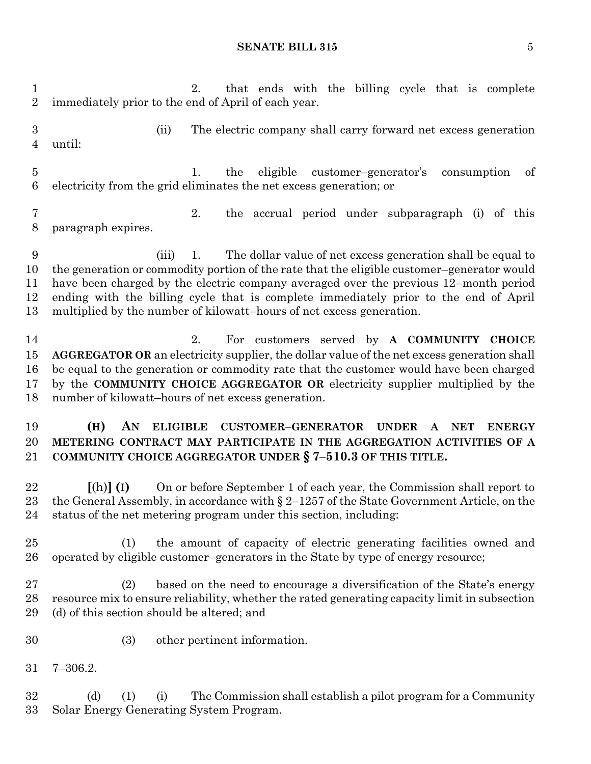2. that ends with the billing cycle that is complete immediately prior to the end of April of each year. (ii) The electric company shall carry forward net excess generation until: 1. the eligible customer–generator's consumption of electricity from the grid eliminates the net excess generation; or 2. the accrual period under subparagraph (i) of this paragraph expires. (iii) 1. The dollar value of net excess generation shall be equal to the generation or commodity portion of the rate that the eligible customer–generator would have been charged by the electric company averaged over the previous 12–month period ending with the billing cycle that is complete immediately prior to the end of April multiplied by the number of kilowatt–hours of net excess generation. 2. For customers served by **A COMMUNITY CHOICE AGGREGATOR OR** an electricity supplier, the dollar value of the net excess generation shall be equal to the generation or commodity rate that the customer would have been charged by the **COMMUNITY CHOICE AGGREGATOR OR** electricity supplier multiplied by the number of kilowatt–hours of net excess generation. **(H) AN ELIGIBLE CUSTOMER–GENERATOR UNDER A NET ENERGY METERING CONTRACT MAY PARTICIPATE IN THE AGGREGATION ACTIVITIES OF A COMMUNITY CHOICE AGGREGATOR UNDER § 7–510.3 OF THIS TITLE. [**(h)**] (I)** On or before September 1 of each year, the Commission shall report to the General Assembly, in accordance with § 2–1257 of the State Government Article, on the status of the net metering program under this section, including: (1) the amount of capacity of electric generating facilities owned and operated by eligible customer–generators in the State by type of energy resource; (2) based on the need to encourage a diversification of the State's energy resource mix to ensure reliability, whether the rated generating capacity limit in subsection (d) of this section should be altered; and (3) other pertinent information. 7–306.2. (d) (1) (i) The Commission shall establish a pilot program for a Community Solar Energy Generating System Program.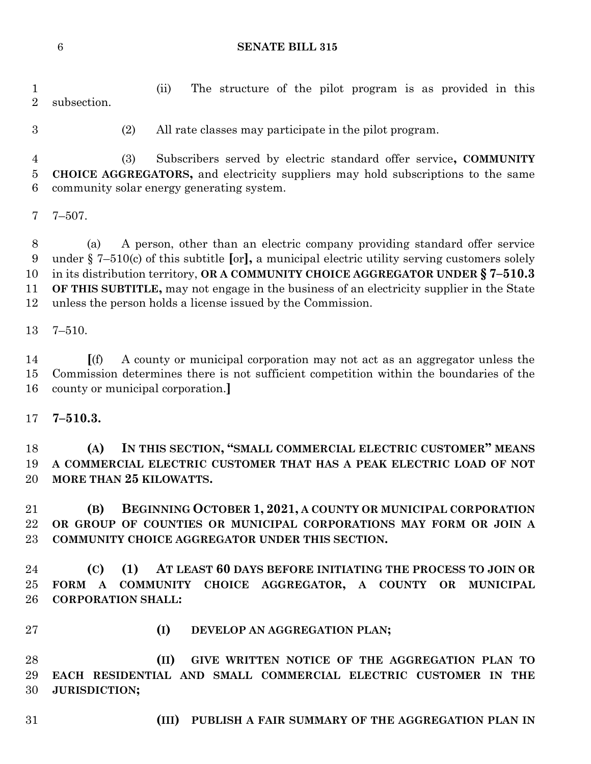(ii) The structure of the pilot program is as provided in this subsection.

(2) All rate classes may participate in the pilot program.

 (3) Subscribers served by electric standard offer service**, COMMUNITY CHOICE AGGREGATORS,** and electricity suppliers may hold subscriptions to the same community solar energy generating system.

7–507.

 (a) A person, other than an electric company providing standard offer service under § 7–510(c) of this subtitle **[**or**],** a municipal electric utility serving customers solely in its distribution territory, **OR A COMMUNITY CHOICE AGGREGATOR UNDER § 7–510.3 OF THIS SUBTITLE,** may not engage in the business of an electricity supplier in the State unless the person holds a license issued by the Commission.

7–510.

 **[**(f) A county or municipal corporation may not act as an aggregator unless the Commission determines there is not sufficient competition within the boundaries of the county or municipal corporation.**]**

**7–510.3.**

 **(A) IN THIS SECTION, "SMALL COMMERCIAL ELECTRIC CUSTOMER" MEANS A COMMERCIAL ELECTRIC CUSTOMER THAT HAS A PEAK ELECTRIC LOAD OF NOT MORE THAN 25 KILOWATTS.**

 **(B) BEGINNING OCTOBER 1, 2021, A COUNTY OR MUNICIPAL CORPORATION OR GROUP OF COUNTIES OR MUNICIPAL CORPORATIONS MAY FORM OR JOIN A COMMUNITY CHOICE AGGREGATOR UNDER THIS SECTION.**

 **(C) (1) AT LEAST 60 DAYS BEFORE INITIATING THE PROCESS TO JOIN OR FORM A COMMUNITY CHOICE AGGREGATOR, A COUNTY OR MUNICIPAL CORPORATION SHALL:**

- 
- **(I) DEVELOP AN AGGREGATION PLAN;**

 **(II) GIVE WRITTEN NOTICE OF THE AGGREGATION PLAN TO EACH RESIDENTIAL AND SMALL COMMERCIAL ELECTRIC CUSTOMER IN THE JURISDICTION;**

- 
- **(III) PUBLISH A FAIR SUMMARY OF THE AGGREGATION PLAN IN**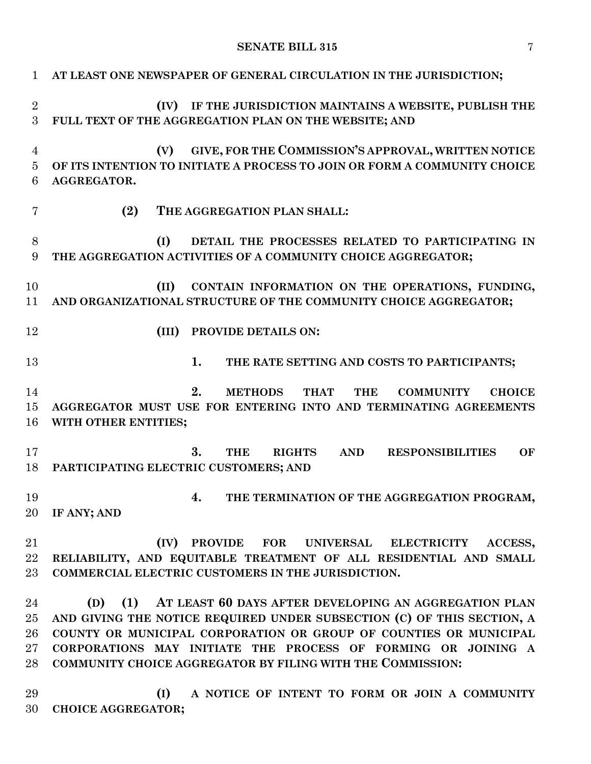| $\mathbf{1}$   | AT LEAST ONE NEWSPAPER OF GENERAL CIRCULATION IN THE JURISDICTION;                     |
|----------------|----------------------------------------------------------------------------------------|
| $\overline{2}$ | IF THE JURISDICTION MAINTAINS A WEBSITE, PUBLISH THE<br>(IV)                           |
| 3              | FULL TEXT OF THE AGGREGATION PLAN ON THE WEBSITE; AND                                  |
| $\overline{4}$ | GIVE, FOR THE COMMISSION'S APPROVAL, WRITTEN NOTICE<br>(V)                             |
| $\bf 5$        | OF ITS INTENTION TO INITIATE A PROCESS TO JOIN OR FORM A COMMUNITY CHOICE              |
| 6              | AGGREGATOR.                                                                            |
| 7              | (2)<br>THE AGGREGATION PLAN SHALL:                                                     |
| 8              | DETAIL THE PROCESSES RELATED TO PARTICIPATING IN<br>(I)                                |
| 9              | THE AGGREGATION ACTIVITIES OF A COMMUNITY CHOICE AGGREGATOR;                           |
| 10             | CONTAIN INFORMATION ON THE OPERATIONS, FUNDING,<br>(II)                                |
| 11             | AND ORGANIZATIONAL STRUCTURE OF THE COMMUNITY CHOICE AGGREGATOR;                       |
| 12             | PROVIDE DETAILS ON:<br>(III)                                                           |
| 13             | 1.<br>THE RATE SETTING AND COSTS TO PARTICIPANTS;                                      |
| 14             | 2.<br><b>METHODS</b><br><b>THAT</b><br><b>THE</b><br><b>COMMUNITY</b><br><b>CHOICE</b> |
| 15             | AGGREGATOR MUST USE FOR ENTERING INTO AND TERMINATING AGREEMENTS                       |
| 16             | WITH OTHER ENTITIES;                                                                   |
| 17             | 3.<br><b>THE</b><br><b>RIGHTS</b><br><b>AND</b><br><b>RESPONSIBILITIES</b><br>OF       |
| 18             | PARTICIPATING ELECTRIC CUSTOMERS; AND                                                  |
| 19             | THE TERMINATION OF THE AGGREGATION PROGRAM,<br>4.                                      |
| 20             | IF ANY; AND                                                                            |
| 21             | (IV)<br>PROVIDE FOR UNIVERSAL ELECTRICITY<br>ACCESS,                                   |
| 22             | RELIABILITY, AND EQUITABLE TREATMENT OF ALL RESIDENTIAL AND SMALL                      |
| 23             | COMMERCIAL ELECTRIC CUSTOMERS IN THE JURISDICTION.                                     |
| 24             | (1)<br>AT LEAST 60 DAYS AFTER DEVELOPING AN AGGREGATION PLAN<br>(D)                    |
| 25             | AND GIVING THE NOTICE REQUIRED UNDER SUBSECTION (C) OF THIS SECTION, A                 |
| 26             | COUNTY OR MUNICIPAL CORPORATION OR GROUP OF COUNTIES OR MUNICIPAL                      |
| 27             | CORPORATIONS MAY INITIATE THE PROCESS OF FORMING OR JOINING A                          |
| 28             | COMMUNITY CHOICE AGGREGATOR BY FILING WITH THE COMMISSION:                             |
| 29             | (I)<br>A NOTICE OF INTENT TO FORM OR JOIN A COMMUNITY                                  |
| 30             | <b>CHOICE AGGREGATOR;</b>                                                              |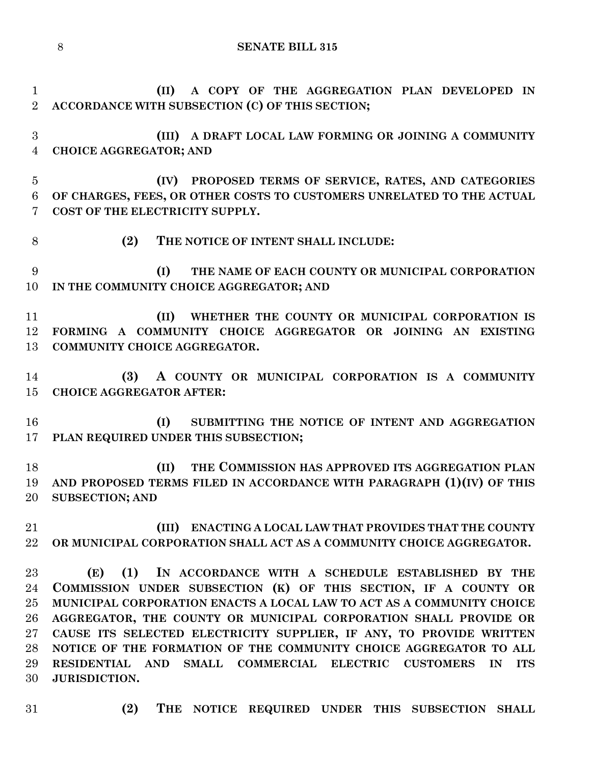**(II) A COPY OF THE AGGREGATION PLAN DEVELOPED IN ACCORDANCE WITH SUBSECTION (C) OF THIS SECTION; (III) A DRAFT LOCAL LAW FORMING OR JOINING A COMMUNITY CHOICE AGGREGATOR; AND (IV) PROPOSED TERMS OF SERVICE, RATES, AND CATEGORIES OF CHARGES, FEES, OR OTHER COSTS TO CUSTOMERS UNRELATED TO THE ACTUAL COST OF THE ELECTRICITY SUPPLY.**

**(2) THE NOTICE OF INTENT SHALL INCLUDE:**

 **(I) THE NAME OF EACH COUNTY OR MUNICIPAL CORPORATION IN THE COMMUNITY CHOICE AGGREGATOR; AND**

 **(II) WHETHER THE COUNTY OR MUNICIPAL CORPORATION IS FORMING A COMMUNITY CHOICE AGGREGATOR OR JOINING AN EXISTING COMMUNITY CHOICE AGGREGATOR.**

 **(3) A COUNTY OR MUNICIPAL CORPORATION IS A COMMUNITY CHOICE AGGREGATOR AFTER:**

 **(I) SUBMITTING THE NOTICE OF INTENT AND AGGREGATION PLAN REQUIRED UNDER THIS SUBSECTION;**

 **(II) THE COMMISSION HAS APPROVED ITS AGGREGATION PLAN AND PROPOSED TERMS FILED IN ACCORDANCE WITH PARAGRAPH (1)(IV) OF THIS SUBSECTION; AND**

 **(III) ENACTING A LOCAL LAW THAT PROVIDES THAT THE COUNTY OR MUNICIPAL CORPORATION SHALL ACT AS A COMMUNITY CHOICE AGGREGATOR.**

 **(E) (1) IN ACCORDANCE WITH A SCHEDULE ESTABLISHED BY THE COMMISSION UNDER SUBSECTION (K) OF THIS SECTION, IF A COUNTY OR MUNICIPAL CORPORATION ENACTS A LOCAL LAW TO ACT AS A COMMUNITY CHOICE AGGREGATOR, THE COUNTY OR MUNICIPAL CORPORATION SHALL PROVIDE OR CAUSE ITS SELECTED ELECTRICITY SUPPLIER, IF ANY, TO PROVIDE WRITTEN NOTICE OF THE FORMATION OF THE COMMUNITY CHOICE AGGREGATOR TO ALL RESIDENTIAL AND SMALL COMMERCIAL ELECTRIC CUSTOMERS IN ITS JURISDICTION.**

- 
- **(2) THE NOTICE REQUIRED UNDER THIS SUBSECTION SHALL**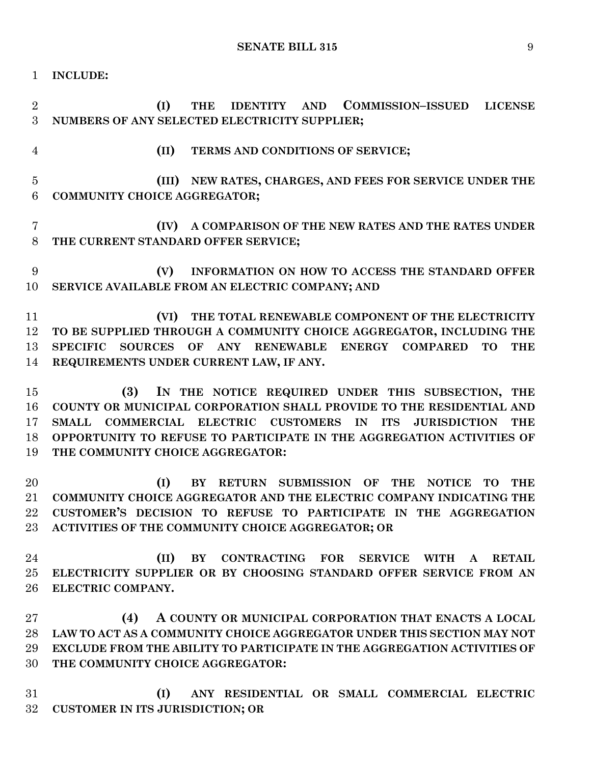**INCLUDE:**

 **(I) THE IDENTITY AND COMMISSION–ISSUED LICENSE NUMBERS OF ANY SELECTED ELECTRICITY SUPPLIER; (II) TERMS AND CONDITIONS OF SERVICE; (III) NEW RATES, CHARGES, AND FEES FOR SERVICE UNDER THE COMMUNITY CHOICE AGGREGATOR; (IV) A COMPARISON OF THE NEW RATES AND THE RATES UNDER THE CURRENT STANDARD OFFER SERVICE; (V) INFORMATION ON HOW TO ACCESS THE STANDARD OFFER SERVICE AVAILABLE FROM AN ELECTRIC COMPANY; AND (VI) THE TOTAL RENEWABLE COMPONENT OF THE ELECTRICITY TO BE SUPPLIED THROUGH A COMMUNITY CHOICE AGGREGATOR, INCLUDING THE SPECIFIC SOURCES OF ANY RENEWABLE ENERGY COMPARED TO THE REQUIREMENTS UNDER CURRENT LAW, IF ANY. (3) IN THE NOTICE REQUIRED UNDER THIS SUBSECTION, THE COUNTY OR MUNICIPAL CORPORATION SHALL PROVIDE TO THE RESIDENTIAL AND SMALL COMMERCIAL ELECTRIC CUSTOMERS IN ITS JURISDICTION THE OPPORTUNITY TO REFUSE TO PARTICIPATE IN THE AGGREGATION ACTIVITIES OF THE COMMUNITY CHOICE AGGREGATOR: (I) BY RETURN SUBMISSION OF THE NOTICE TO THE COMMUNITY CHOICE AGGREGATOR AND THE ELECTRIC COMPANY INDICATING THE CUSTOMER'S DECISION TO REFUSE TO PARTICIPATE IN THE AGGREGATION ACTIVITIES OF THE COMMUNITY CHOICE AGGREGATOR; OR (II) BY CONTRACTING FOR SERVICE WITH A RETAIL ELECTRICITY SUPPLIER OR BY CHOOSING STANDARD OFFER SERVICE FROM AN ELECTRIC COMPANY. (4) A COUNTY OR MUNICIPAL CORPORATION THAT ENACTS A LOCAL LAW TO ACT AS A COMMUNITY CHOICE AGGREGATOR UNDER THIS SECTION MAY NOT EXCLUDE FROM THE ABILITY TO PARTICIPATE IN THE AGGREGATION ACTIVITIES OF THE COMMUNITY CHOICE AGGREGATOR:**

 **(I) ANY RESIDENTIAL OR SMALL COMMERCIAL ELECTRIC CUSTOMER IN ITS JURISDICTION; OR**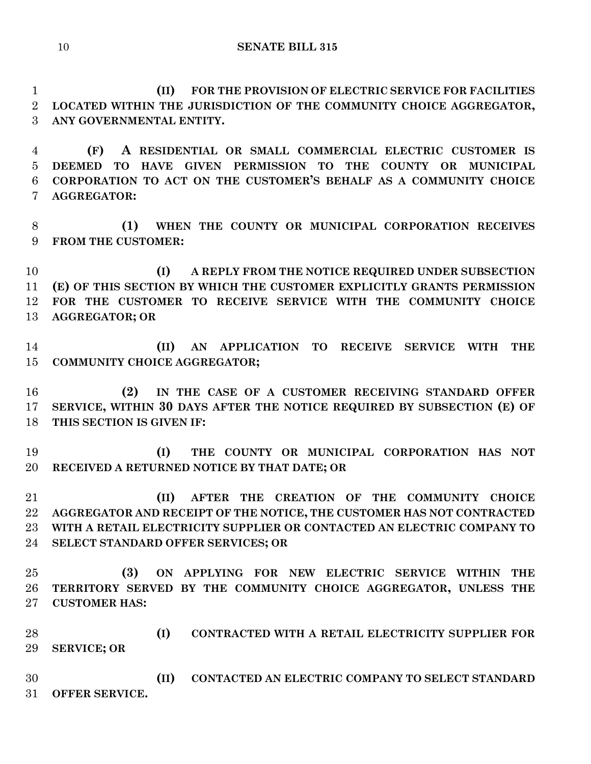**(II) FOR THE PROVISION OF ELECTRIC SERVICE FOR FACILITIES LOCATED WITHIN THE JURISDICTION OF THE COMMUNITY CHOICE AGGREGATOR, ANY GOVERNMENTAL ENTITY.**

 **(F) A RESIDENTIAL OR SMALL COMMERCIAL ELECTRIC CUSTOMER IS DEEMED TO HAVE GIVEN PERMISSION TO THE COUNTY OR MUNICIPAL CORPORATION TO ACT ON THE CUSTOMER'S BEHALF AS A COMMUNITY CHOICE AGGREGATOR:**

 **(1) WHEN THE COUNTY OR MUNICIPAL CORPORATION RECEIVES FROM THE CUSTOMER:**

 **(I) A REPLY FROM THE NOTICE REQUIRED UNDER SUBSECTION (E) OF THIS SECTION BY WHICH THE CUSTOMER EXPLICITLY GRANTS PERMISSION FOR THE CUSTOMER TO RECEIVE SERVICE WITH THE COMMUNITY CHOICE AGGREGATOR; OR**

 **(II) AN APPLICATION TO RECEIVE SERVICE WITH THE COMMUNITY CHOICE AGGREGATOR;**

 **(2) IN THE CASE OF A CUSTOMER RECEIVING STANDARD OFFER SERVICE, WITHIN 30 DAYS AFTER THE NOTICE REQUIRED BY SUBSECTION (E) OF THIS SECTION IS GIVEN IF:**

 **(I) THE COUNTY OR MUNICIPAL CORPORATION HAS NOT RECEIVED A RETURNED NOTICE BY THAT DATE; OR**

 **(II) AFTER THE CREATION OF THE COMMUNITY CHOICE AGGREGATOR AND RECEIPT OF THE NOTICE, THE CUSTOMER HAS NOT CONTRACTED WITH A RETAIL ELECTRICITY SUPPLIER OR CONTACTED AN ELECTRIC COMPANY TO SELECT STANDARD OFFER SERVICES; OR**

 **(3) ON APPLYING FOR NEW ELECTRIC SERVICE WITHIN THE TERRITORY SERVED BY THE COMMUNITY CHOICE AGGREGATOR, UNLESS THE CUSTOMER HAS:**

 **(I) CONTRACTED WITH A RETAIL ELECTRICITY SUPPLIER FOR SERVICE; OR** 

 **(II) CONTACTED AN ELECTRIC COMPANY TO SELECT STANDARD OFFER SERVICE.**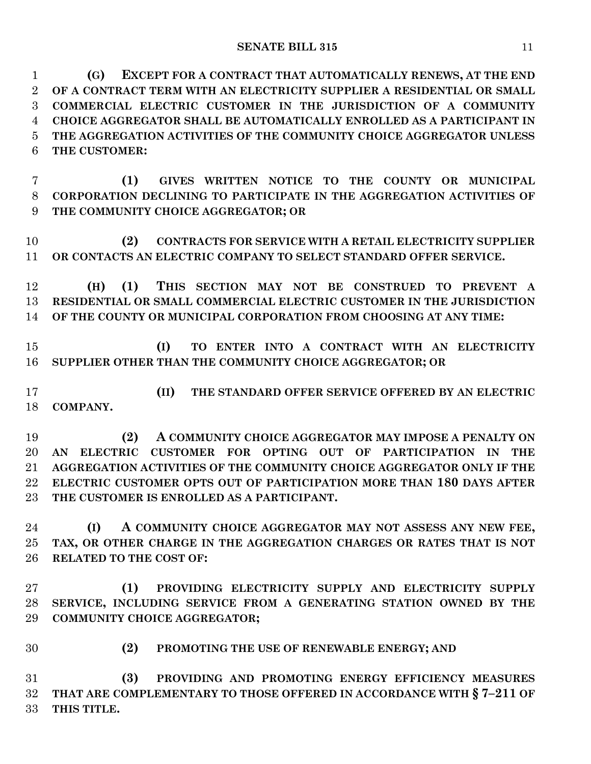**(G) EXCEPT FOR A CONTRACT THAT AUTOMATICALLY RENEWS, AT THE END OF A CONTRACT TERM WITH AN ELECTRICITY SUPPLIER A RESIDENTIAL OR SMALL COMMERCIAL ELECTRIC CUSTOMER IN THE JURISDICTION OF A COMMUNITY CHOICE AGGREGATOR SHALL BE AUTOMATICALLY ENROLLED AS A PARTICIPANT IN THE AGGREGATION ACTIVITIES OF THE COMMUNITY CHOICE AGGREGATOR UNLESS THE CUSTOMER:**

 **(1) GIVES WRITTEN NOTICE TO THE COUNTY OR MUNICIPAL CORPORATION DECLINING TO PARTICIPATE IN THE AGGREGATION ACTIVITIES OF THE COMMUNITY CHOICE AGGREGATOR; OR**

 **(2) CONTRACTS FOR SERVICE WITH A RETAIL ELECTRICITY SUPPLIER OR CONTACTS AN ELECTRIC COMPANY TO SELECT STANDARD OFFER SERVICE.**

 **(H) (1) THIS SECTION MAY NOT BE CONSTRUED TO PREVENT A RESIDENTIAL OR SMALL COMMERCIAL ELECTRIC CUSTOMER IN THE JURISDICTION OF THE COUNTY OR MUNICIPAL CORPORATION FROM CHOOSING AT ANY TIME:**

 **(I) TO ENTER INTO A CONTRACT WITH AN ELECTRICITY SUPPLIER OTHER THAN THE COMMUNITY CHOICE AGGREGATOR; OR**

 **(II) THE STANDARD OFFER SERVICE OFFERED BY AN ELECTRIC COMPANY.**

 **(2) A COMMUNITY CHOICE AGGREGATOR MAY IMPOSE A PENALTY ON AN ELECTRIC CUSTOMER FOR OPTING OUT OF PARTICIPATION IN THE AGGREGATION ACTIVITIES OF THE COMMUNITY CHOICE AGGREGATOR ONLY IF THE ELECTRIC CUSTOMER OPTS OUT OF PARTICIPATION MORE THAN 180 DAYS AFTER THE CUSTOMER IS ENROLLED AS A PARTICIPANT.**

 **(I) A COMMUNITY CHOICE AGGREGATOR MAY NOT ASSESS ANY NEW FEE, TAX, OR OTHER CHARGE IN THE AGGREGATION CHARGES OR RATES THAT IS NOT RELATED TO THE COST OF:**

 **(1) PROVIDING ELECTRICITY SUPPLY AND ELECTRICITY SUPPLY SERVICE, INCLUDING SERVICE FROM A GENERATING STATION OWNED BY THE COMMUNITY CHOICE AGGREGATOR;**

**(2) PROMOTING THE USE OF RENEWABLE ENERGY; AND**

 **(3) PROVIDING AND PROMOTING ENERGY EFFICIENCY MEASURES THAT ARE COMPLEMENTARY TO THOSE OFFERED IN ACCORDANCE WITH § 7–211 OF THIS TITLE.**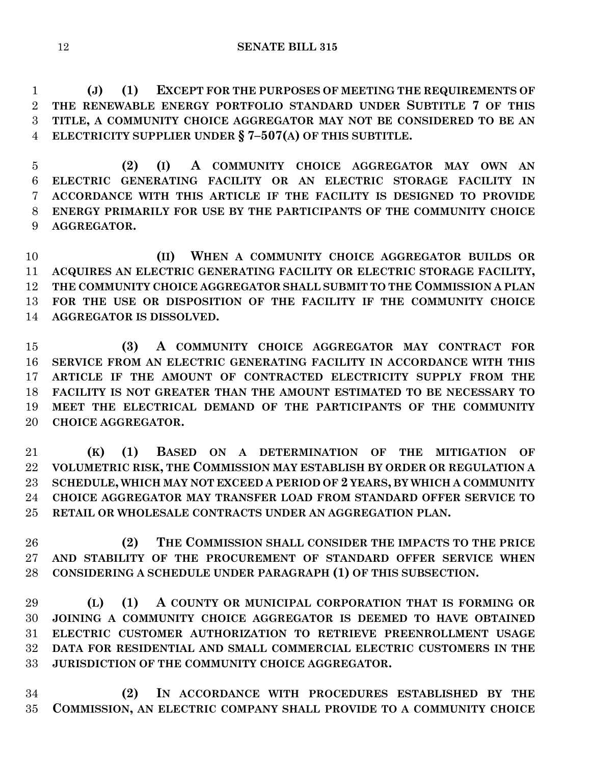**(J) (1) EXCEPT FOR THE PURPOSES OF MEETING THE REQUIREMENTS OF THE RENEWABLE ENERGY PORTFOLIO STANDARD UNDER SUBTITLE 7 OF THIS TITLE, A COMMUNITY CHOICE AGGREGATOR MAY NOT BE CONSIDERED TO BE AN ELECTRICITY SUPPLIER UNDER § 7–507(A) OF THIS SUBTITLE.**

 **(2) (I) A COMMUNITY CHOICE AGGREGATOR MAY OWN AN ELECTRIC GENERATING FACILITY OR AN ELECTRIC STORAGE FACILITY IN ACCORDANCE WITH THIS ARTICLE IF THE FACILITY IS DESIGNED TO PROVIDE ENERGY PRIMARILY FOR USE BY THE PARTICIPANTS OF THE COMMUNITY CHOICE AGGREGATOR.**

 **(II) WHEN A COMMUNITY CHOICE AGGREGATOR BUILDS OR ACQUIRES AN ELECTRIC GENERATING FACILITY OR ELECTRIC STORAGE FACILITY, THE COMMUNITY CHOICE AGGREGATOR SHALL SUBMIT TO THE COMMISSION A PLAN FOR THE USE OR DISPOSITION OF THE FACILITY IF THE COMMUNITY CHOICE AGGREGATOR IS DISSOLVED.**

 **(3) A COMMUNITY CHOICE AGGREGATOR MAY CONTRACT FOR SERVICE FROM AN ELECTRIC GENERATING FACILITY IN ACCORDANCE WITH THIS ARTICLE IF THE AMOUNT OF CONTRACTED ELECTRICITY SUPPLY FROM THE FACILITY IS NOT GREATER THAN THE AMOUNT ESTIMATED TO BE NECESSARY TO MEET THE ELECTRICAL DEMAND OF THE PARTICIPANTS OF THE COMMUNITY CHOICE AGGREGATOR.**

 **(K) (1) BASED ON A DETERMINATION OF THE MITIGATION OF VOLUMETRIC RISK, THE COMMISSION MAY ESTABLISH BY ORDER OR REGULATION A SCHEDULE, WHICH MAY NOT EXCEED A PERIOD OF 2 YEARS, BY WHICH A COMMUNITY CHOICE AGGREGATOR MAY TRANSFER LOAD FROM STANDARD OFFER SERVICE TO RETAIL OR WHOLESALE CONTRACTS UNDER AN AGGREGATION PLAN.**

 **(2) THE COMMISSION SHALL CONSIDER THE IMPACTS TO THE PRICE AND STABILITY OF THE PROCUREMENT OF STANDARD OFFER SERVICE WHEN CONSIDERING A SCHEDULE UNDER PARAGRAPH (1) OF THIS SUBSECTION.**

 **(L) (1) A COUNTY OR MUNICIPAL CORPORATION THAT IS FORMING OR JOINING A COMMUNITY CHOICE AGGREGATOR IS DEEMED TO HAVE OBTAINED ELECTRIC CUSTOMER AUTHORIZATION TO RETRIEVE PREENROLLMENT USAGE DATA FOR RESIDENTIAL AND SMALL COMMERCIAL ELECTRIC CUSTOMERS IN THE JURISDICTION OF THE COMMUNITY CHOICE AGGREGATOR.**

 **(2) IN ACCORDANCE WITH PROCEDURES ESTABLISHED BY THE COMMISSION, AN ELECTRIC COMPANY SHALL PROVIDE TO A COMMUNITY CHOICE**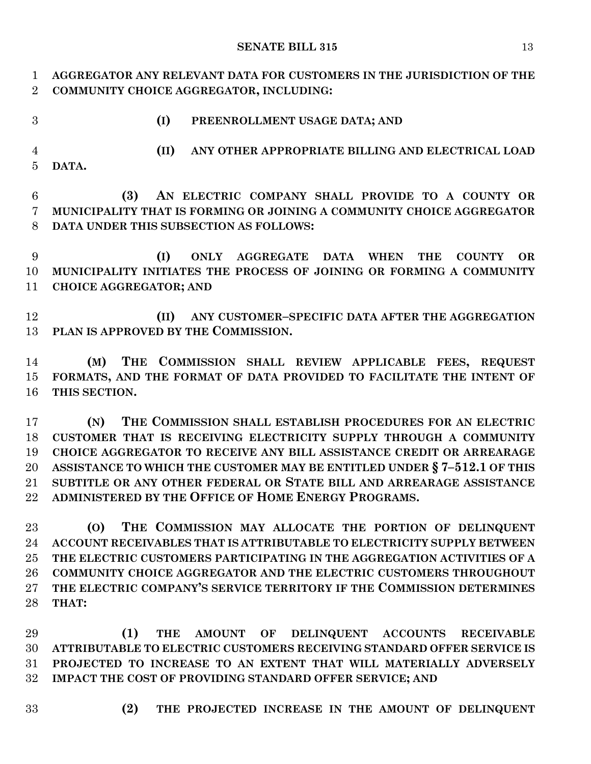**AGGREGATOR ANY RELEVANT DATA FOR CUSTOMERS IN THE JURISDICTION OF THE COMMUNITY CHOICE AGGREGATOR, INCLUDING:**

- 
- **(I) PREENROLLMENT USAGE DATA; AND**

 **(II) ANY OTHER APPROPRIATE BILLING AND ELECTRICAL LOAD DATA.**

 **(3) AN ELECTRIC COMPANY SHALL PROVIDE TO A COUNTY OR MUNICIPALITY THAT IS FORMING OR JOINING A COMMUNITY CHOICE AGGREGATOR DATA UNDER THIS SUBSECTION AS FOLLOWS:**

 **(I) ONLY AGGREGATE DATA WHEN THE COUNTY OR MUNICIPALITY INITIATES THE PROCESS OF JOINING OR FORMING A COMMUNITY CHOICE AGGREGATOR; AND**

 **(II) ANY CUSTOMER–SPECIFIC DATA AFTER THE AGGREGATION PLAN IS APPROVED BY THE COMMISSION.**

 **(M) THE COMMISSION SHALL REVIEW APPLICABLE FEES, REQUEST FORMATS, AND THE FORMAT OF DATA PROVIDED TO FACILITATE THE INTENT OF THIS SECTION.**

 **(N) THE COMMISSION SHALL ESTABLISH PROCEDURES FOR AN ELECTRIC CUSTOMER THAT IS RECEIVING ELECTRICITY SUPPLY THROUGH A COMMUNITY CHOICE AGGREGATOR TO RECEIVE ANY BILL ASSISTANCE CREDIT OR ARREARAGE ASSISTANCE TO WHICH THE CUSTOMER MAY BE ENTITLED UNDER § 7–512.1 OF THIS SUBTITLE OR ANY OTHER FEDERAL OR STATE BILL AND ARREARAGE ASSISTANCE ADMINISTERED BY THE OFFICE OF HOME ENERGY PROGRAMS.**

 **(O) THE COMMISSION MAY ALLOCATE THE PORTION OF DELINQUENT ACCOUNT RECEIVABLES THAT IS ATTRIBUTABLE TO ELECTRICITY SUPPLY BETWEEN THE ELECTRIC CUSTOMERS PARTICIPATING IN THE AGGREGATION ACTIVITIES OF A COMMUNITY CHOICE AGGREGATOR AND THE ELECTRIC CUSTOMERS THROUGHOUT THE ELECTRIC COMPANY'S SERVICE TERRITORY IF THE COMMISSION DETERMINES THAT:**

 **(1) THE AMOUNT OF DELINQUENT ACCOUNTS RECEIVABLE ATTRIBUTABLE TO ELECTRIC CUSTOMERS RECEIVING STANDARD OFFER SERVICE IS PROJECTED TO INCREASE TO AN EXTENT THAT WILL MATERIALLY ADVERSELY IMPACT THE COST OF PROVIDING STANDARD OFFER SERVICE; AND**

- 
- **(2) THE PROJECTED INCREASE IN THE AMOUNT OF DELINQUENT**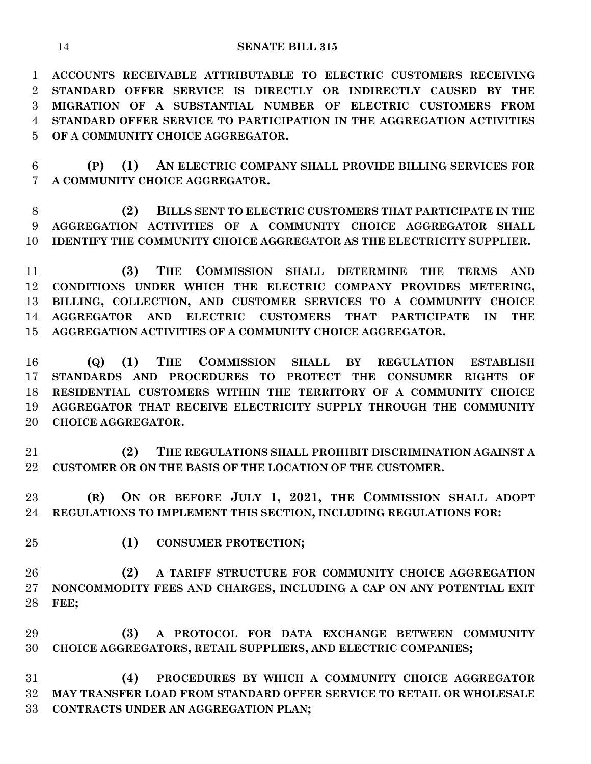**ACCOUNTS RECEIVABLE ATTRIBUTABLE TO ELECTRIC CUSTOMERS RECEIVING STANDARD OFFER SERVICE IS DIRECTLY OR INDIRECTLY CAUSED BY THE MIGRATION OF A SUBSTANTIAL NUMBER OF ELECTRIC CUSTOMERS FROM STANDARD OFFER SERVICE TO PARTICIPATION IN THE AGGREGATION ACTIVITIES OF A COMMUNITY CHOICE AGGREGATOR.**

 **(P) (1) AN ELECTRIC COMPANY SHALL PROVIDE BILLING SERVICES FOR A COMMUNITY CHOICE AGGREGATOR.**

 **(2) BILLS SENT TO ELECTRIC CUSTOMERS THAT PARTICIPATE IN THE AGGREGATION ACTIVITIES OF A COMMUNITY CHOICE AGGREGATOR SHALL IDENTIFY THE COMMUNITY CHOICE AGGREGATOR AS THE ELECTRICITY SUPPLIER.**

 **(3) THE COMMISSION SHALL DETERMINE THE TERMS AND CONDITIONS UNDER WHICH THE ELECTRIC COMPANY PROVIDES METERING, BILLING, COLLECTION, AND CUSTOMER SERVICES TO A COMMUNITY CHOICE AGGREGATOR AND ELECTRIC CUSTOMERS THAT PARTICIPATE IN THE AGGREGATION ACTIVITIES OF A COMMUNITY CHOICE AGGREGATOR.**

 **(Q) (1) THE COMMISSION SHALL BY REGULATION ESTABLISH STANDARDS AND PROCEDURES TO PROTECT THE CONSUMER RIGHTS OF RESIDENTIAL CUSTOMERS WITHIN THE TERRITORY OF A COMMUNITY CHOICE AGGREGATOR THAT RECEIVE ELECTRICITY SUPPLY THROUGH THE COMMUNITY CHOICE AGGREGATOR.**

 **(2) THE REGULATIONS SHALL PROHIBIT DISCRIMINATION AGAINST A CUSTOMER OR ON THE BASIS OF THE LOCATION OF THE CUSTOMER.**

 **(R) ON OR BEFORE JULY 1, 2021, THE COMMISSION SHALL ADOPT REGULATIONS TO IMPLEMENT THIS SECTION, INCLUDING REGULATIONS FOR:**

- 
- **(1) CONSUMER PROTECTION;**

 **(2) A TARIFF STRUCTURE FOR COMMUNITY CHOICE AGGREGATION NONCOMMODITY FEES AND CHARGES, INCLUDING A CAP ON ANY POTENTIAL EXIT FEE;**

 **(3) A PROTOCOL FOR DATA EXCHANGE BETWEEN COMMUNITY CHOICE AGGREGATORS, RETAIL SUPPLIERS, AND ELECTRIC COMPANIES;**

 **(4) PROCEDURES BY WHICH A COMMUNITY CHOICE AGGREGATOR MAY TRANSFER LOAD FROM STANDARD OFFER SERVICE TO RETAIL OR WHOLESALE CONTRACTS UNDER AN AGGREGATION PLAN;**